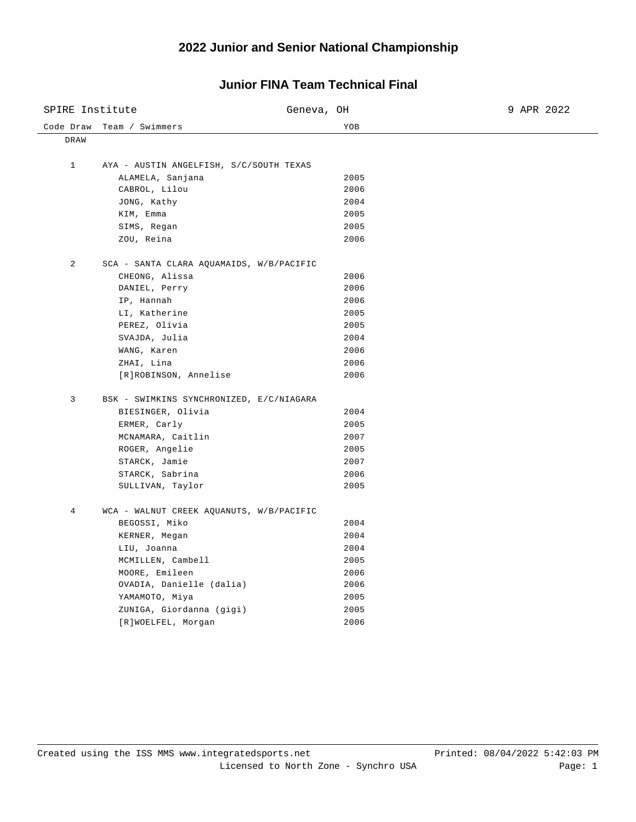| SPIRE Institute |                                          | Geneva, OH | 9 APR 2022 |
|-----------------|------------------------------------------|------------|------------|
| Code Draw       | Team / Swimmers                          | YOB        |            |
| DRAW            |                                          |            |            |
| $\mathbf{1}$    | AYA - AUSTIN ANGELFISH, S/C/SOUTH TEXAS  |            |            |
|                 | ALAMELA, Sanjana                         | 2005       |            |
|                 | CABROL, Lilou                            | 2006       |            |
|                 | JONG, Kathy                              | 2004       |            |
|                 | KIM, Emma                                | 2005       |            |
|                 | SIMS, Regan                              | 2005       |            |
|                 | ZOU, Reina                               | 2006       |            |
| 2               | SCA - SANTA CLARA AQUAMAIDS, W/B/PACIFIC |            |            |
|                 | CHEONG, Alissa                           | 2006       |            |
|                 | DANIEL, Perry                            | 2006       |            |
|                 | IP, Hannah                               | 2006       |            |
|                 | LI, Katherine                            | 2005       |            |
|                 | PEREZ, Olivia                            | 2005       |            |
|                 | SVAJDA, Julia                            | 2004       |            |
|                 | WANG, Karen                              | 2006       |            |
|                 | ZHAI, Lina                               | 2006       |            |
|                 | [R]ROBINSON, Annelise                    | 2006       |            |
| 3               | BSK - SWIMKINS SYNCHRONIZED, E/C/NIAGARA |            |            |
|                 | BIESINGER, Olivia                        | 2004       |            |
|                 | ERMER, Carly                             | 2005       |            |
|                 | MCNAMARA, Caitlin                        | 2007       |            |
|                 | ROGER, Angelie                           | 2005       |            |
|                 | STARCK, Jamie                            | 2007       |            |
|                 | STARCK, Sabrina                          | 2006       |            |
|                 | SULLIVAN, Taylor                         | 2005       |            |
| $\overline{4}$  | WCA - WALNUT CREEK AQUANUTS, W/B/PACIFIC |            |            |
|                 | BEGOSSI, Miko                            | 2004       |            |
|                 | KERNER, Megan                            | 2004       |            |
|                 | LIU, Joanna                              | 2004       |            |
|                 | MCMILLEN, Cambell                        | 2005       |            |
|                 | MOORE, Emileen                           | 2006       |            |
|                 | OVADIA, Danielle (dalia)                 | 2006       |            |
|                 | ҮАМАМОТО, Міуа                           | 2005       |            |
|                 | ZUNIGA, Giordanna (gigi)                 | 2005       |            |
|                 | [R]WOELFEL, Morgan                       | 2006       |            |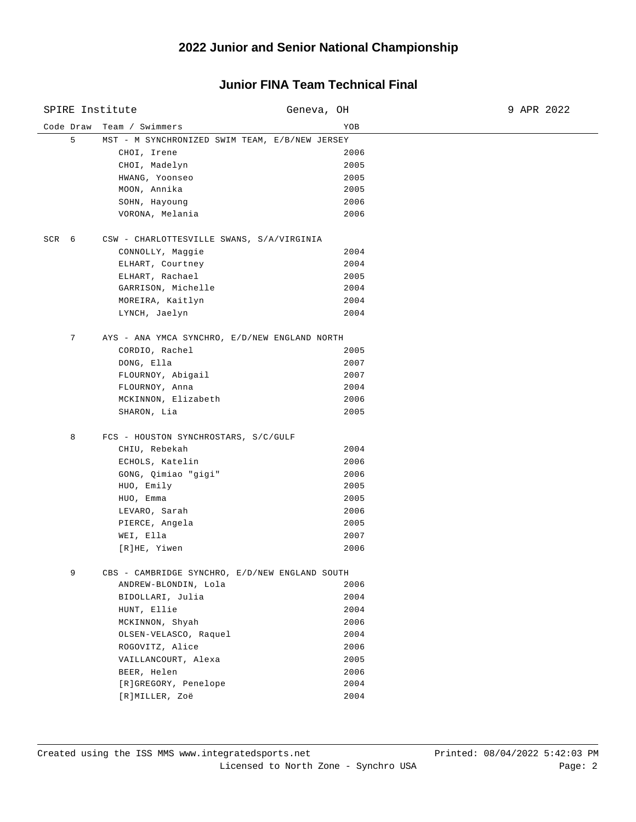| SPIRE Institute |                                                | Geneva, OH | 9 APR 2022 |
|-----------------|------------------------------------------------|------------|------------|
| Code Draw       | Team / Swimmers                                | YOB        |            |
| 5               | MST - M SYNCHRONIZED SWIM TEAM, E/B/NEW JERSEY |            |            |
|                 | CHOI, Irene                                    | 2006       |            |
|                 | CHOI, Madelyn                                  | 2005       |            |
|                 | HWANG, Yoonseo                                 | 2005       |            |
|                 | MOON, Annika                                   | 2005       |            |
|                 | SOHN, Hayoung                                  | 2006       |            |
|                 | VORONA, Melania                                | 2006       |            |
| SCR 6           | CSW - CHARLOTTESVILLE SWANS, S/A/VIRGINIA      |            |            |
|                 | CONNOLLY, Maggie                               | 2004       |            |
|                 | ELHART, Courtney                               | 2004       |            |
|                 | ELHART, Rachael                                | 2005       |            |
|                 | GARRISON, Michelle                             | 2004       |            |
|                 | MOREIRA, Kaitlyn                               | 2004       |            |
|                 | LYNCH, Jaelyn                                  | 2004       |            |
| 7               | AYS - ANA YMCA SYNCHRO, E/D/NEW ENGLAND NORTH  |            |            |
|                 | CORDIO, Rachel                                 | 2005       |            |
|                 | DONG, Ella                                     | 2007       |            |
|                 | FLOURNOY, Abigail                              | 2007       |            |
|                 | FLOURNOY, Anna                                 | 2004       |            |
|                 | MCKINNON, Elizabeth                            | 2006       |            |
|                 | SHARON, Lia                                    | 2005       |            |
| 8               | FCS - HOUSTON SYNCHROSTARS, S/C/GULF           |            |            |
|                 | CHIU, Rebekah                                  | 2004       |            |
|                 | ECHOLS, Katelin                                | 2006       |            |
|                 | GONG, Qimiao "gigi"                            | 2006       |            |
|                 | HUO, Emily                                     | 2005       |            |
|                 | HUO, Emma                                      | 2005       |            |
|                 | LEVARO, Sarah                                  | 2006       |            |
|                 | PIERCE, Angela                                 | 2005       |            |
|                 | WEI, Ella                                      | 2007       |            |
|                 | [R]HE, Yiwen                                   | 2006       |            |
| 9               | CBS - CAMBRIDGE SYNCHRO, E/D/NEW ENGLAND SOUTH |            |            |
|                 | ANDREW-BLONDIN, Lola                           | 2006       |            |
|                 | BIDOLLARI, Julia                               | 2004       |            |
|                 | HUNT, Ellie                                    | 2004       |            |
|                 | MCKINNON, Shyah                                | 2006       |            |
|                 | OLSEN-VELASCO, Raquel                          | 2004       |            |
|                 | ROGOVITZ, Alice                                | 2006       |            |
|                 | VAILLANCOURT, Alexa                            | 2005       |            |
|                 | BEER, Helen                                    | 2006       |            |
|                 | [R]GREGORY, Penelope                           | 2004       |            |
|                 | [R]MILLER, Zoë                                 | 2004       |            |
|                 |                                                |            |            |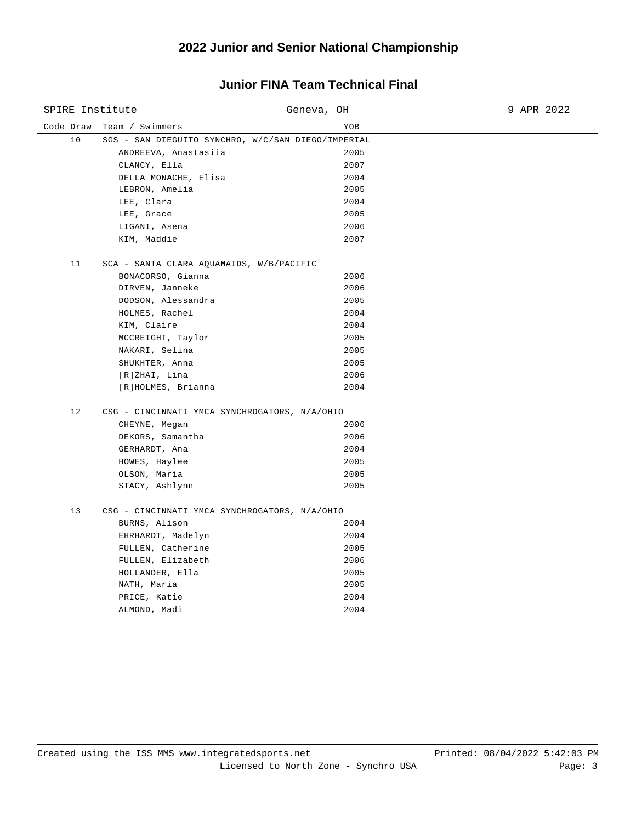| SPIRE Institute |                                                    | Geneva, OH | 9 APR 2022 |
|-----------------|----------------------------------------------------|------------|------------|
| Code Draw       | Team / Swimmers                                    | YOB        |            |
| 10              | SGS - SAN DIEGUITO SYNCHRO, W/C/SAN DIEGO/IMPERIAL |            |            |
|                 | ANDREEVA, Anastasiia                               | 2005       |            |
|                 | CLANCY, Ella                                       | 2007       |            |
|                 | DELLA MONACHE, Elisa                               | 2004       |            |
|                 | LEBRON, Amelia                                     | 2005       |            |
|                 | LEE, Clara                                         | 2004       |            |
|                 | LEE, Grace                                         | 2005       |            |
|                 | LIGANI, Asena                                      | 2006       |            |
|                 | KIM, Maddie                                        | 2007       |            |
| 11              | SCA - SANTA CLARA AQUAMAIDS, W/B/PACIFIC           |            |            |
|                 | BONACORSO, Gianna                                  | 2006       |            |
|                 | DIRVEN, Janneke                                    | 2006       |            |
|                 | DODSON, Alessandra                                 | 2005       |            |
|                 | HOLMES, Rachel                                     | 2004       |            |
|                 | KIM, Claire                                        | 2004       |            |
|                 | MCCREIGHT, Taylor                                  | 2005       |            |
|                 | NAKARI, Selina                                     | 2005       |            |
|                 | SHUKHTER, Anna                                     | 2005       |            |
|                 | [R]ZHAI, Lina                                      | 2006       |            |
|                 | [R]HOLMES, Brianna                                 | 2004       |            |
| 12              | CSG - CINCINNATI YMCA SYNCHROGATORS, N/A/OHIO      |            |            |
|                 | CHEYNE, Megan                                      | 2006       |            |
|                 | DEKORS, Samantha                                   | 2006       |            |
|                 | GERHARDT, Ana                                      | 2004       |            |
|                 | HOWES, Haylee                                      | 2005       |            |
|                 | OLSON, Maria                                       | 2005       |            |
|                 | STACY, Ashlynn                                     | 2005       |            |
| 13              | CSG - CINCINNATI YMCA SYNCHROGATORS, N/A/OHIO      |            |            |
|                 | BURNS, Alison                                      | 2004       |            |
|                 | EHRHARDT, Madelyn                                  | 2004       |            |
|                 | FULLEN, Catherine                                  | 2005       |            |
|                 | FULLEN, Elizabeth                                  | 2006       |            |
|                 | HOLLANDER, Ella                                    | 2005       |            |
|                 | NATH, Maria                                        | 2005       |            |
|                 | PRICE, Katie                                       | 2004       |            |
|                 | ALMOND, Madi                                       | 2004       |            |
|                 |                                                    |            |            |